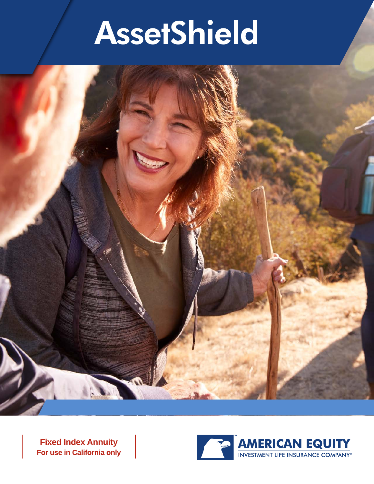

**Fixed Index Annuity For use in California only**

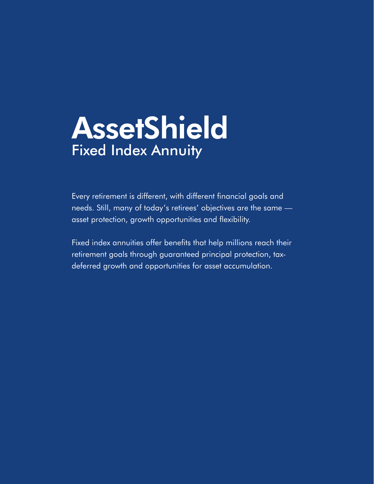## **AssetShield** Fixed Index Annuity

Every retirement is different, with different financial goals and needs. Still, many of today's retirees' objectives are the same asset protection, growth opportunities and flexibility.

Fixed index annuities offer benefits that help millions reach their retirement goals through guaranteed principal protection, taxdeferred growth and opportunities for asset accumulation.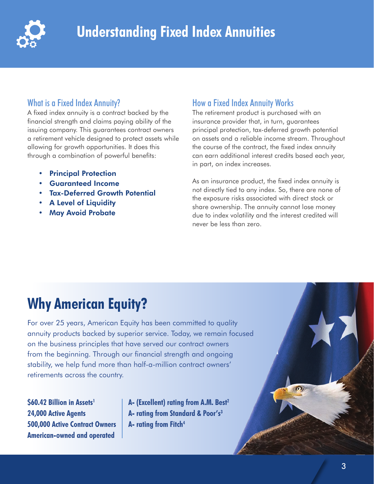

### What is a Fixed Index Annuity?

A fixed index annuity is a contract backed by the financial strength and claims paying ability of the issuing company. This guarantees contract owners a retirement vehicle designed to protect assets while allowing for growth opportunities. It does this through a combination of powerful benefits:

- Principal Protection
- Guaranteed Income
- Tax-Deferred Growth Potential
- **A Level of Liquidity**
- May Avoid Probate

### How a Fixed Index Annuity Works

The retirement product is purchased with an insurance provider that, in turn, guarantees principal protection, tax-deferred growth potential on assets and a reliable income stream. Throughout the course of the contract, the fixed index annuity can earn additional interest credits based each year, in part, on index increases.

As an insurance product, the fixed index annuity is not directly tied to any index. So, there are none of the exposure risks associated with direct stock or share ownership. The annuity cannot lose money due to index volatility and the interest credited will never be less than zero.

### **Why American Equity?**

For over 25 years, American Equity has been committed to quality annuity products backed by superior service. Today, we remain focused on the business principles that have served our contract owners from the beginning. Through our financial strength and ongoing stability, we help fund more than half-a-million contract owners' retirements across the country.

**\$60.42 Billion in Assets1 24,000 Active Agents 500,000 Active Contract Owners American-owned and operated**

**A- (Excellent) rating from A.M. Best2 A- rating from Standard & Poor's3 A- rating from Fitch4**

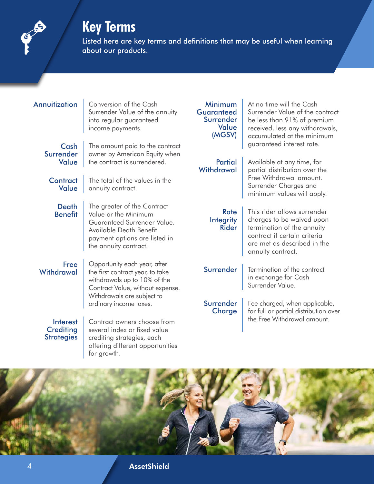### **Key Terms**



Listed here are key terms and definitions that may be useful when learning about our products.

| Annuitization                                     | Conversion of the Cash<br>Surrender Value of the annuity<br>into regular guaranteed<br>income payments.                                                                 | Minimum<br><b>Guaranteed</b><br>Surrender<br>Value<br>(MGSV) | At no time will the Cash<br>Surrender Value of the contract<br>be less than 91% of premium<br>received, less any withdrawals,<br>accumulated at the minimum                |  |
|---------------------------------------------------|-------------------------------------------------------------------------------------------------------------------------------------------------------------------------|--------------------------------------------------------------|----------------------------------------------------------------------------------------------------------------------------------------------------------------------------|--|
| Cash<br>Surrender<br>Value                        | The amount paid to the contract<br>owner by American Equity when<br>the contract is surrendered.                                                                        | <b>Partial</b><br>Withdrawal                                 | guaranteed interest rate.<br>Available at any time, for<br>partial distribution over the<br>Free Withdrawal amount.                                                        |  |
| <b>Contract</b><br>Value                          | The total of the values in the<br>annuity contract.                                                                                                                     |                                                              | Surrender Charges and<br>minimum values will apply.                                                                                                                        |  |
| <b>Death</b><br><b>Benefit</b>                    | The greater of the Contract<br>Value or the Minimum<br>Guaranteed Surrender Value.<br>Available Death Benefit<br>payment options are listed in<br>the annuity contract. | <b>Rate</b><br>Integrity<br><b>Rider</b>                     | This rider allows surrender<br>charges to be waived upon<br>termination of the annuity<br>contract if certain criteria<br>are met as described in the<br>annuity contract. |  |
| <b>Free</b><br>Withdrawal                         | Opportunity each year, after<br>the first contract year, to take<br>withdrawals up to 10% of the<br>Contract Value, without expense.<br>Withdrawals are subject to      | Surrender                                                    | Termination of the contract<br>in exchange for Cash<br>Surrender Value.                                                                                                    |  |
|                                                   | ordinary income taxes.                                                                                                                                                  | Surrender<br>Charge                                          | Fee charged, when applicable,<br>for full or partial distribution over                                                                                                     |  |
| Interest<br><b>Crediting</b><br><b>Strategies</b> | Contract owners choose from<br>several index or fixed value<br>crediting strategies, each<br>offering different opportunities<br>for growth.                            |                                                              | the Free Withdrawal amount.                                                                                                                                                |  |



4 AssetShield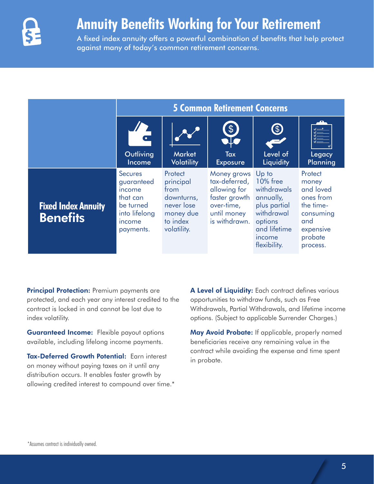

### **Annuity Benefits Working for Your Retirement**

A fixed index annuity offers a powerful combination of benefits that help protect against many of today's common retirement concerns.

|                                               | <b>5 Common Retirement Concerns</b>                                                                     |                                                                                                         |                                                                                                             |                                                                                                                                         |                                                                                                                                                                                                                                                                                                                                                                                                                                                                   |  |  |
|-----------------------------------------------|---------------------------------------------------------------------------------------------------------|---------------------------------------------------------------------------------------------------------|-------------------------------------------------------------------------------------------------------------|-----------------------------------------------------------------------------------------------------------------------------------------|-------------------------------------------------------------------------------------------------------------------------------------------------------------------------------------------------------------------------------------------------------------------------------------------------------------------------------------------------------------------------------------------------------------------------------------------------------------------|--|--|
|                                               | Outliving<br>Income                                                                                     | <b>Market</b><br><b>Volatility</b>                                                                      | \$<br>Tax<br><b>Exposure</b>                                                                                | S<br>Level of<br>Liquidity                                                                                                              | $\frac{\frac{1}{\sqrt{2}}\cdot\frac{1}{\sqrt{2}}\cdot\frac{1}{\sqrt{2}}\cdot\frac{1}{\sqrt{2}}\cdot\frac{1}{\sqrt{2}}\cdot\frac{1}{\sqrt{2}}\cdot\frac{1}{\sqrt{2}}\cdot\frac{1}{\sqrt{2}}\cdot\frac{1}{\sqrt{2}}\cdot\frac{1}{\sqrt{2}}\cdot\frac{1}{\sqrt{2}}\cdot\frac{1}{\sqrt{2}}\cdot\frac{1}{\sqrt{2}}\cdot\frac{1}{\sqrt{2}}\cdot\frac{1}{\sqrt{2}}\cdot\frac{1}{\sqrt{2}}\cdot\frac{1}{\sqrt{2}}\cdot\frac{1}{\sqrt{2}}\cdot\frac$<br>Legacy<br>Planning |  |  |
| <b>Fixed Index Annuity</b><br><b>Benefits</b> | <b>Secures</b><br>guaranteed<br>income<br>that can<br>be turned<br>into lifelong<br>income<br>payments. | <b>Protect</b><br>principal<br>from<br>downturns,<br>never lose<br>money due<br>to index<br>volatility. | Money grows<br>tax-deferred,<br>allowing for<br>faster growth<br>over-time,<br>until money<br>is withdrawn. | Up to<br><b>10%</b> free<br>withdrawals<br>annually,<br>plus partial<br>withdrawal<br>options<br>and lifetime<br>income<br>flexibility. | Protect<br>money<br>and loved<br>ones from<br>the time-<br>consuming<br>and<br>expensive<br>probate<br>process.                                                                                                                                                                                                                                                                                                                                                   |  |  |

**Principal Protection:** Premium payments are protected, and each year any interest credited to the contract is locked in and cannot be lost due to index volatility.

Guaranteed Income: Flexible payout options available, including lifelong income payments.

Tax-Deferred Growth Potential: Earn interest on money without paying taxes on it until any distribution occurs. It enables faster growth by allowing credited interest to compound over time.\* A Level of Liquidity: Each contract defines various opportunities to withdraw funds, such as Free Withdrawals, Partial Withdrawals, and lifetime income options. (Subject to applicable Surrender Charges.)

May Avoid Probate: If applicable, properly named beneficiaries receive any remaining value in the contract while avoiding the expense and time spent in probate.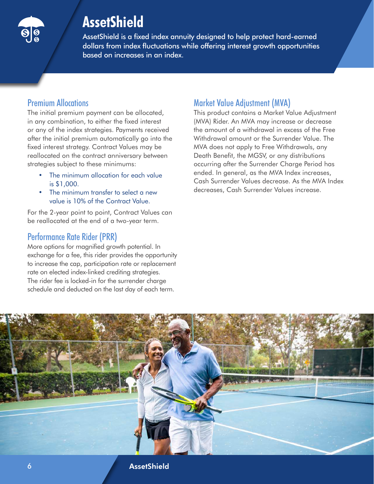

AssetShield is a fixed index annuity designed to help protect hard-earned dollars from index fluctuations while offering interest growth opportunities based on increases in an index.

### Premium Allocations

The initial premium payment can be allocated, in any combination, to either the fixed interest or any of the index strategies. Payments received after the initial premium automatically go into the fixed interest strategy. Contract Values may be reallocated on the contract anniversary between strategies subject to these minimums:

- The minimum allocation for each value is \$1,000.
- The minimum transfer to select a new value is 10% of the Contract Value.

For the 2-year point to point, Contract Values can be reallocated at the end of a two-year term.

### Performance Rate Rider (PRR)

More options for magnified growth potential. In exchange for a fee, this rider provides the opportunity to increase the cap, participation rate or replacement rate on elected index-linked crediting strategies. The rider fee is locked-in for the surrender charge schedule and deducted on the last day of each term.

### Market Value Adjustment (MVA)

This product contains a Market Value Adjustment (MVA) Rider. An MVA may increase or decrease the amount of a withdrawal in excess of the Free Withdrawal amount or the Surrender Value. The MVA does not apply to Free Withdrawals, any Death Benefit, the MGSV, or any distributions occurring after the Surrender Charge Period has ended. In general, as the MVA Index increases, Cash Surrender Values decrease. As the MVA Index decreases, Cash Surrender Values increase.

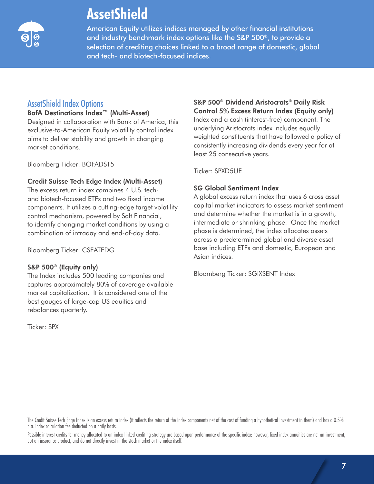

American Equity utilizes indices managed by other financial institutions and industry benchmark index options like the S&P 500®, to provide a selection of crediting choices linked to a broad range of domestic, global and tech- and biotech-focused indices.

### AssetShield Index Options

#### BofA Destinations Index™ (Multi-Asset)

Designed in collaboration with Bank of America, this exclusive-to-American Equity volatility control index aims to deliver stability and growth in changing market conditions.

Bloomberg Ticker: BOFADST5

#### Credit Suisse Tech Edge Index (Multi-Asset)

The excess return index combines 4 U.S. techand biotech-focused ETFs and two fixed income components. It utilizes a cutting-edge target volatility control mechanism, powered by Salt Financial, to identify changing market conditions by using a combination of intraday and end-of-day data.

Bloomberg Ticker: CSEATEDG

#### S&P 500® (Equity only)

The Index includes 500 leading companies and captures approximately 80% of coverage available market capitalization. It is considered one of the best gauges of large-cap US equities and rebalances quarterly.

Ticker: SPX

### S&P 500® Dividend Aristocrats® Daily Risk Control 5% Excess Return Index (Equity only)

Index and a cash (interest-free) component. The underlying Aristocrats index includes equally weighted constituents that have followed a policy of consistently increasing dividends every year for at least 25 consecutive years.

Ticker: SPXD5UE

### SG Global Sentiment Index

A global excess return index that uses 6 cross asset capital market indicators to assess market sentiment and determine whether the market is in a growth, intermediate or shrinking phase. Once the market phase is determined, the index allocates assets across a predetermined global and diverse asset base including ETFs and domestic, European and Asian indices.

Bloomberg Ticker: SGIXSENT Index

The Credit Suisse Tech Edge Index is an excess return index (it reflects the return of the Index components net of the cost of funding a hypothetical investment in them) and has a 0.5% p.a. index calculation fee deducted on a daily basis.

Possible interest credits for money allocated to an index-linked crediting strategy are based upon performance of the specific index; however, fixed index annuities are not an investment, but an insurance product, and do not directly invest in the stock market or the index itself.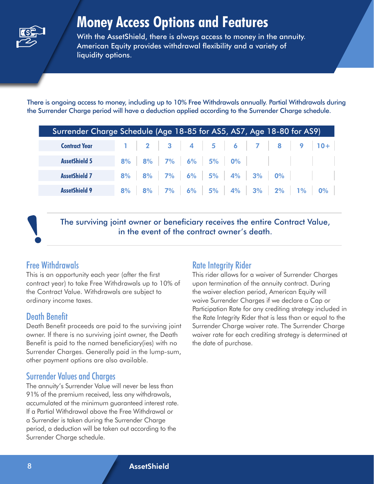

### **Money Access Options and Features**

With the AssetShield, there is always access to money in the annuity. American Equity provides withdrawal flexibility and a variety of liquidity options.

There is ongoing access to money, including up to 10% Free Withdrawals annually. Partial Withdrawals during the Surrender Charge period will have a deduction applied according to the Surrender Charge schedule.

| Surrender Charge Schedule (Age 18-85 for AS5, AS7, Age 18-80 for AS9) |  |  |  |  |  |  |  |  |                                                 |
|-----------------------------------------------------------------------|--|--|--|--|--|--|--|--|-------------------------------------------------|
| <b>Contract Year</b>                                                  |  |  |  |  |  |  |  |  | $1$   2   3   4   5   6   7   8   9   10+       |
| <b>AssetShield 5</b>                                                  |  |  |  |  |  |  |  |  | 8% 8% 7% 6% 5% 0%                               |
| <b>AssetShield 7</b>                                                  |  |  |  |  |  |  |  |  | 8% 8% 7% 6% 5% 4% 3% 0%                         |
| <b>AssetShield 9</b>                                                  |  |  |  |  |  |  |  |  | 8%   8%   7%   6%   5%   4%   3%   2%   1%   0% |

The surviving joint owner or beneficiary receives the entire Contract Value, in the event of the contract owner's death.

### Free Withdrawals

This is an opportunity each year (after the first contract year) to take Free Withdrawals up to 10% of the Contract Value. Withdrawals are subject to ordinary income taxes.

### Death Benefit

Death Benefit proceeds are paid to the surviving joint owner. If there is no surviving joint owner, the Death Benefit is paid to the named beneficiary(ies) with no Surrender Charges. Generally paid in the lump-sum, other payment options are also available.

### Surrender Values and Charges

The annuity's Surrender Value will never be less than 91% of the premium received, less any withdrawals, accumulated at the minimum guaranteed interest rate. If a Partial Withdrawal above the Free Withdrawal or a Surrender is taken during the Surrender Charge period, a deduction will be taken out according to the Surrender Charge schedule.

### Rate Integrity Rider

This rider allows for a waiver of Surrender Charges upon termination of the annuity contract. During the waiver election period, American Equity will waive Surrender Charges if we declare a Cap or Participation Rate for any crediting strategy included in the Rate Integrity Rider that is less than or equal to the Surrender Charge waiver rate. The Surrender Charge waiver rate for each crediting strategy is determined at the date of purchase.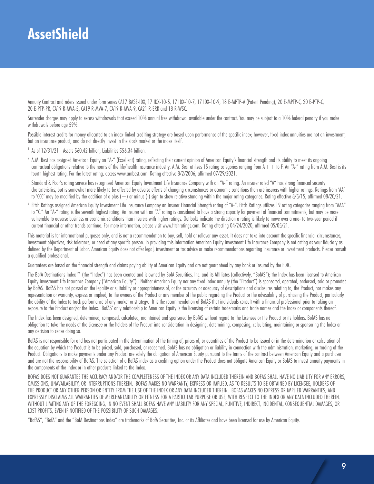Annuity Contract and riders issued under form series CA17 BASE-IDX, 17 IDX-10-5, 17 IDX-10-7, 17 IDX-10-9, 18 E-MPTP-A (Patent Pending), 20 E-MPTP-C, 20 E-PTP-C, 20 E-PTP-PR, CA19 R-MVA-5, CA19 R-MVA-7, CA19 R-MVA-9, CA21 R-ERR and 18 R-WSC.

Surrender charges may apply to excess withdrawals that exceed 10% annual free withdrawal available under the contract. You may be subject to a 10% federal penalty if you make withdrawals before age 591/2.

Possible interest credits for money allocated to an index-linked crediting strategy are based upon performance of the specific index; however, fixed index annuities are not an investment, but an insurance product, and do not directly invest in the stock market or the index itself.

 $<sup>1</sup>$  As of  $12/31/21$  - Assets  $560.42$  billion, Liabilities  $556.34$  billion.</sup>

- <sup>2</sup> A.M. Best has assigned American Equity an "A-" (Excellent) rating, reflecting their current opinion of American Equity's financial strength and its ability to meet its ongoing contractual obligations relative to the norms of the life/health insurance industry. A.M. Best utilizes 15 rating categories ranging from  $A++$  to F. An "A-" rating from A.M. Best is its fourth highest rating. For the latest rating, access www.ambest.com. Rating effective 8/2/2006, affirmed 07/29/2021.
- Standard & Poor's rating service has recognized American Equity Investment Life Insurance Company with an "A-" rating. An insurer rated "A" has strong financial security characteristics, but is somewhat more likely to be affected by adverse effects of changing circumstances or economic conditions than are insurers with higher ratings. Ratings from 'AA' to 'CCC' may be modified by the addition of a plus (+) or minus (-) sign to show relative standing within the major rating categories. Rating effective 8/5/15, affirmed 08/20/21.
- 4 Fitch Ratings assigned American Equity Investment Life Insurance Company an Insurer Financial Strength rating of "A-". Fitch Ratings utilizes 19 rating categories ranging from "AAA" to "C." An "A-" rating is the seventh highest rating. An insurer with an "A" rating is considered to have a strong capacity for payment of financial commitments, but may be more vulnerable to adverse business or economic conditions than insurers with higher ratings. Outlooks indicate the direction a rating is likely to move over a one- to two-year period if current financial or other trends continue. For more information, please visit www.fitchratings.com. Rating effecting 04/24/2020, affirmed 05/05/21.

This material is for informational purposes only, and is not a recommendation to buy, sell, hold or rollover any asset. It does not take into account the specific financial circumstances, investment objectives, risk tolerance, or need of any specific person. In providing this information American Equity Investment Life Insurance Company is not acting as your fiduciary as defined by the Department of Labor. American Equity does not offer legal, investment or tax advice or make recommendations regarding insurance or investment products. Please consult a qualified professional.

Guarantees are based on the financial strength and claims paying ability of American Equity and are not guaranteed by any bank or insured by the FDIC.

The BofA Destinations Index™ (the "Index") has been created and is owned by BofA Securities, Inc. and its Affiliates (collectively, "BofAS"); the Index has been licensed to American Equity Investment Life Insurance Company ("American Equity"). Neither American Equity nor any fixed index annuity (the "Product") is sponsored, operated, endorsed, sold or promoted by BofAS. BofAS has not passed on the legality or suitability or appropriateness of, or the accuracy or adequacy of descriptions and disclosures relating to, the Product, nor makes any representation or warranty, express or implied, to the owners of the Product or any member of the public regarding the Product or the advisability of purchasing the Product, particularly the ability of the Index to track performance of any market or strategy. It is the recommendation of BofAS that individuals consult with a financial professional prior to taking an exposure to the Product and/or the Index. BofAS' only relationship to American Equity is the licensing of certain trademarks and trade names and the Index or components thereof.

The Index has been designed, determined, composed, calculated, maintained and sponsored by BofAS without regard to the Licensee or the Product or its holders. BofAS has no obligation to take the needs of the Licensee or the holders of the Product into consideration in designing, determining, composing, calculating, maintaining or sponsoring the Index or any decision to cease doing so.

BofAS is not responsible for and has not participated in the determination of the timing of, prices of, or quantities of the Product to be issued or in the determination or calculation of the equation by which the Product is to be priced, sold, purchased, or redeemed. BofAS has no obligation or liability in connection with the administration, marketing, or trading of the Product. Obligations to make payments under any Product are solely the obligation of American Equity pursuant to the terms of the contract between American Equity and a purchaser and are not the responsibility of BofAS. The selection of a BofAS index as a crediting option under the Product does not obligate American Equity or BofAS to invest annuity payments in the components of the Index or in other products linked to the Index.

BOFAS DOES NOT GUARANTEE THE ACCURACY AND/OR THE COMPLETENESS OF THE INDEX OR ANY DATA INCLUDED THEREIN AND BOFAS SHALL HAVE NO LIABILITY FOR ANY ERRORS, OMISSIONS, UNAVAILABILITY, OR INTERRUPTIONS THEREIN. BOFAS MAKES NO WARRANTY, EXPRESS OR IMPLIED, AS TO RESULTS TO BE OBTAINED BY LICENSEE, HOLDERS OF THE PRODUCT OR ANY OTHER PERSON OR ENTITY FROM THE USE OF THE INDEX OR ANY DATA INCLUDED THEREIN. BOFAS MAKES NO EXPRESS OR IMPLIED WARRANTIES, AND EXPRESSLY DISCLAIMS ALL WARRANTIES OF MERCHANTABILITY OR FITNESS FOR A PARTICULAR PURPOSE OR USE, WITH RESPECT TO THE INDEX OR ANY DATA INCLUDED THEREIN. WITHOUT LIMITING ANY OF THE FOREGOING, IN NO EVENT SHALL BOFAS HAVE ANY LIABILITY FOR ANY SPECIAL, PUNITIVE, INDIRECT, INCIDENTAL, CONSEQUENTIAL DAMAGES, OR LOST PROFITS, EVEN IF NOTIFIED OF THE POSSIBILITY OF SUCH DAMAGES.

"BofAS", "BofA" and the "BofA Destinations Index" are trademarks of BofA Securities, Inc. or its Affiliates and have been licensed for use by American Equity.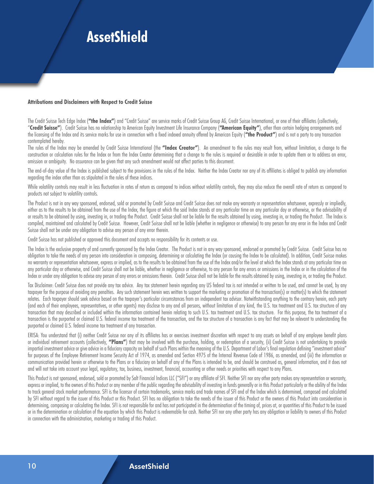#### **Attributions and Disclaimers with Respect to Credit Suisse**

The Credit Suisse Tech Edge Index ("the Index") and "Credit Suisse" are service marks of Credit Suisse Group AG, Credit Suisse International, or one of their affiliates (collectively, "**Credit Suisse"**). Credit Suisse has no relationship to American Equity Investment Life Insurance Company (**"American Equity"**), other than certain hedging arrangements and the licensing of the Index and its service marks for use in connection with a fixed indexed annuity offered by American Equity (**"the Product"**) and is not a party to any transaction contemplated hereby.

The rules of the Index may be amended by Credit Suisse International (the **"Index Creator"**). An amendment to the rules may result from, without limitation, a change to the construction or calculation rules for the Index or from the Index Creator determining that a change to the rules is required or desirable in order to update them or to address an error, omission or ambiguity. No assurance can be given that any such amendment would not affect parties to this document.

The end-of-day value of the Index is published subject to the provisions in the rules of the Index. Neither the Index Creator nor any of its affiliates is obliged to publish any information regarding the index other than as stipulated in the rules of these indices.

While volatility controls may result in less fluctuation in rates of return as compared to indices without volatility controls, they may also reduce the overall rate of return as compared to products not subject to volatility controls.

The Product is not in any way sponsored, endorsed, sold or promoted by Credit Suisse and Credit Suisse does not make any warranty or representation whatsoever, expressly or impliedly, either as to the results to be obtained from the use of the Index, the figure at which the said Index stands at any particular time on any particular day or otherwise, or the advisability of or results to be obtained by using, investing in, or trading the Product. Credit Suisse shall not be liable for the results obtained by using, investing in, or trading the Product. The Index is compiled, maintained and calculated by Credit Suisse. However, Credit Suisse shall not be liable (whether in negligence or otherwise) to any person for any error in the Index and Credit Suisse shall not be under any obligation to advise any person of any error therein.

Credit Suisse has not published or approved this document and accepts no responsibility for its contents or use.

The Index is the exclusive property of and currently sponsored by the Index Creator. The Product is not in any way sponsored, endorsed or promoted by Credit Suisse. Credit Suisse has no obligation to take the needs of any person into consideration in composing, determining or calculating the Index (or causing the Index to be calculated). In addition, Credit Suisse makes no warranty or representation whatsoever, express or implied, as to the results to be obtained from the use of the Index and/or the level at which the Index stands at any particular time on any particular day or otherwise, and Credit Suisse shall not be liable, whether in negligence or otherwise, to any person for any errors or omissions in the Index or in the calculation of the Index or under any obligation to advise any person of any errors or omissions therein. Credit Suisse shall not be liable for the results obtained by using, investing in, or trading the Product.

Tax Disclaimer: Credit Suisse does not provide any tax advice. Any tax statement herein regarding any US federal tax is not intended or written to be used, and cannot be used, by any taxpayer for the purpose of avoiding any penalties. Any such statement herein was written to support the marketing or promotion of the transaction(s) or matter(s) to which the statement relates. Each taxpayer should seek advice based on the taxpayer's particular circumstances from an independent tax advisor. Notwithstanding anything to the contrary herein, each party (and each of their employees, representatives, or other agents) may disclose to any and all persons, without limitation of any kind, the U.S. tax treatment and U.S. tax structure of any transaction that may described or included within the information contained herein relating to such U.S. tax treatment and U.S. tax structure. For this purpose, the tax treatment of a transaction is the purported or claimed U.S. federal income tax treatment of the transaction, and the tax structure of a transaction is any fact that may be relevant to understanding the purported or claimed U.S. federal income tax treatment of any transaction.

ERISA: You understand that (i) neither Credit Suisse nor any of its affiliates has or exercises investment discretion with respect to any assets on behalf of any employee benefit plans or individual retirement accounts (collectively, **"Plans"**) that may be involved with the purchase, holding, or redemption of a security, (ii) Credit Suisse is not undertaking to provide impartial investment advice or give advice in a fiduciary capacity on behalf of such Plans within the meaning of the U.S. Department of Labor's final requlation defining "investment advice" for purposes of the Employee Retirement Income Security Act of 1974, as amended and Section 4975 of the Internal Revenue Code of 1986, as amended, and (iii) the information or communication provided herein or otherwise to the Plans or a fiduciary on behalf of any of the Plans is intended to be, and should be construed as, general information, and it does not and will not take into account your legal, regulatory, tax, business, investment, financial, accounting or other needs or priorities with respect to any Plans.

This Product is not sponsored, endorsed, sold or promoted by Salt Financial Indices LLC ("SFI") or any affiliate of SFI. Neither SFI nor any other party makes any representation or warranty, express or implied, to the owners of this Product or any member of the public regarding the advisability of investing in funds generally or in this Product particularly or the ability of the Index to track general stock market performance. SFI is the licensor of certain trademarks, service marks and trade names of SFI and of the Index which is determined, composed and calculated by SFI without regard to the issuer of this Product or this Product. SFI has no obligation to take the needs of the issuer of this Product or the owners of this Product into consideration in determining, composing or calculating the Index. SFI is not responsible for and has not participated in the determination of the timing of, prices at, or quantities of this Product to be issued or in the determination or calculation of the equation by which this Product is redeemable for cash. Neither SFI nor any other party has any obligation or liability to owners of this Product in connection with the administration, marketing or trading of this Product.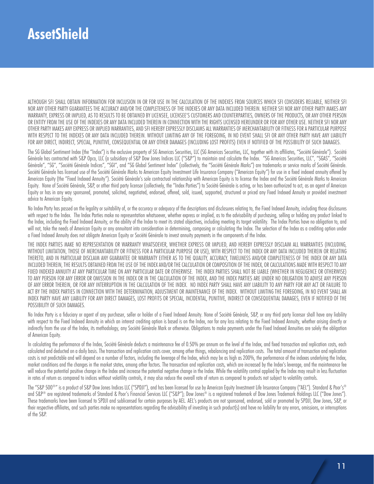ALTHOUGH SFI SHALL OBTAIN INFORMATION FOR INCLUSION IN OR FOR USE IN THE CALCULATION OF THE INDEXES FROM SOURCES WHICH SFI CONSIDERS RELIABLE, NEITHER SFI NOR ANY OTHER PARTY GUARANTEES THE ACCURACY AND/OR THE COMPLETENESS OF THE INDEXES OR ANY DATA INCLUDED THEREIN. NEITHER SFI NOR ANY OTHER PARTY MAKES ANY WARRANTY, EXPRESS OR IMPLIED, AS TO RESULTS TO BE OBTAINED BY LICENSEE, LICENSEE'S CUSTOMERS AND COUNTERPARTIES, OWNERS OF THE PRODUCTS, OR ANY OTHER PERSON OR ENTITY FROM THE USE OF THE INDEXES OR ANY DATA INCLUDED THEREIN IN CONNECTION WITH THE RIGHTS LICENSED HEREUNDER OR FOR ANY OTHER USE. NEITHER SFI NOR ANY OTHER PARTY MAKES ANY EXPRESS OR IMPLIED WARRANTIES, AND SFI HEREBY EXPRESSLY DISCLAIMS ALL WARRANTIES OF MERCHANTABILITY OR FITNESS FOR A PARTICULAR PURPOSE WITH RESPECT TO THE INDEXES OR ANY DATA INCLUDED THEREIN. WITHOUT LIMITING ANY OF THE FOREGOING, IN NO EVENT SHALL SFI OR ANY OTHER PARTY HAVE ANY LIABILITY FOR ANY DIRECT, INDIRECT, SPECIAL, PUNITIVE, CONSEQUENTIAL OR ANY OTHER DAMAGES (INCLUDING LOST PROFITS) EVEN IF NOTIFIED OF THE POSSIBILITY OF SUCH DAMAGES.

The SG Global Sentiment Index (the "Index") is the exclusive property of SG Americas Securities, LLC (SG Americas Securities, LLC, together with its affiliates, "Société Générale"). Société Générale has contracted with S&P Opco, LLC (a subsidiary of S&P Dow Jones Indices LLC ("S&P") to maintain and calculate the Index. "SG Americas Securities, LLC", "SGAS", "Société Générale", "SG", "Société Générale Indices", "SGI", and "SG Global Sentiment Index" (collectively, the "Société Générale Marks") are trademarks or service marks of Société Générale. Société Générale has licensed use of the Société Générale Marks to American Equity Investment Life Insurance Company ("American Equity") for use in a fixed indexed annuity offered by American Equity (the "Fixed Indexed Annuity"). Société Générale's sole contractual relationship with American Equity is to license the Index and the Société Générale Marks to American Equity. None of Société Générale, S&P, or other third party licensor (collectively, the "Index Parties") to Société Générale is acting, or has been authorized to act, as an agent of American Equity or has in any way sponsored, promoted, solicited, negotiated, endorsed, offered, sold, issued, supported, structured or priced any Fixed Indexed Annuity or provided investment advice to American Equity.

No Index Party has passed on the legality or suitability of, or the accuracy or adequacy of the descriptions and disclosures relating to, the Fixed Indexed Annuity, including those disclosures with respect to the Index. The Index Parties make no representation whatsoever, whether express or implied, as to the advisability of purchasing, selling or holding any product linked to the Index, including the Fixed Indexed Annuity, or the ability of the Index to meet its stated objectives, including meeting its target volatility. The Index Parties have no obligation to, and will not, take the needs of American Equity or any annuitant into consideration in determining, composing or calculating the Index. The selection of the Index as a crediting option under a Fixed Indexed Annuity does not obligate American Equity or Société Générale to invest annuity payments in the components of the Index.

THE INDEX PARTIES MAKE NO REPRESENTATION OR WARRANTY WHATSOEVER, WHETHER EXPRESS OR IMPLIED, AND HEREBY EXPRESSLY DISCLAIM ALL WARRANTIES (INCLUDING, WITHOUT LIMITATION, THOSE OF MERCHANTABILITY OR FITNESS FOR A PARTICULAR PURPOSE OR USE), WITH RESPECT TO THE INDEX OR ANY DATA INCLUDED THEREIN OR RELATING THERETO, AND IN PARTICULAR DISCLAIM ANY GUARANTEE OR WARRANTY EITHER AS TO THE QUALITY, ACCURACY, TIMELINESS AND/OR COMPLETENESS OF THE INDEX OR ANY DATA INCLUDED THEREIN, THE RESULTS OBTAINED FROM THE USE OF THE INDEX AND/OR THE CALCULATION OR COMPOSITION OF THE INDEX, OR CALCULATIONS MADE WITH RESPECT TO ANY FIXED INDEXED ANNUITY AT ANY PARTICULAR TIME ON ANY PARTICULAR DATE OR OTHERWISE. THE INDEX PARTIES SHALL NOT BE LIABLE (WHETHER IN NEGLIGENCE OR OTHERWISE) TO ANY PERSON FOR ANY ERROR OR OMISSION IN THE INDEX OR IN THE CALCULATION OF THE INDEX, AND THE INDEX PARTIES ARE UNDER NO OBLIGATION TO ADVISE ANY PERSON OF ANY ERROR THEREIN, OR FOR ANY INTERRUPTION IN THE CALCULATION OF THE INDEX. NO INDEX PARTY SHALL HAVE ANY LIABILITY TO ANY PARTY FOR ANY ACT OR FAILURE TO ACT BY THE INDEX PARTIES IN CONNECTION WITH THE DETERMINATION, ADJUSTMENT OR MAINTENANCE OF THE INDEX. WITHOUT LIMITING THE FOREGOING, IN NO EVENT SHALL AN INDEX PARTY HAVE ANY LIABILITY FOR ANY DIRECT DAMAGES, LOST PROFITS OR SPECIAL, INCIDENTAL, PUNITIVE, INDIRECT OR CONSEQUENTIAL DAMAGES, EVEN IF NOTIFIED OF THE POSSIBILITY OF SUCH DAMAGES.

No Index Party is a fiduciary or agent of any purchaser, seller or holder of a Fixed Indexed Annuity. None of Société Générale, S&P, or any third party licensor shall have any liability with respect to the Fixed Indexed Annuity in which an interest crediting option is based is on the Index, nor for any loss relating to the Fixed Indexed Annuity, whether arising directly or indirectly from the use of the Index, its methodology, any Société Générale Mark or otherwise. Obligations to make payments under the Fixed Indexed Annuities are solely the obligation of American Equity.

In calculating the performance of the Index, Société Générale deducts a maintenance fee of 0.50% per annum on the level of the Index, and fixed transaction and replication costs, each calculated and deducted on a daily basis. The transaction and replication costs cover, among other things, rebalancing and replication costs. The total amount of transaction and replication costs is not predictable and will depend on a number of factors, including the leverage of the Index, which may be as high as 200%, the performance of the indexes underlying the Index, market conditions and the changes in the market states, among other factors. The transaction and replication costs, which are increased by the Index's leverage, and the maintenance fee will reduce the potential positive change in the Index and increase the potential negative change in the Index. While the volatility control applied by the Index may result in less fluctuation in rates of return as compared to indices without volatility controls, it may also reduce the overall rate of return as compared to products not subject to volatility controls.

The "S&P 500®" is a product of S&P Dow Jones Indices LLC ("SPDJI"), and has been licensed for use by American Equity Investment Life Insurance Company ("AEL"). Standard & Poor's® and S&P® are registered trademarks of Standard & Poor's Financial Services LLC ("S&P"); Dow Jones® is a registered trademark of Dow Jones Trademark Holdings LLC ("Dow Jones"). These trademarks have been licensed to SPDJI and sublicensed for certain purposes by AEL. AEL's products are not sponsored, endorsed, sold or promoted by SPDJI, Dow Jones, S&P, or their respective affiliates, and such parties make no representations regarding the advisability of investing in such product(s) and have no liability for any errors, omissions, or interruptions of the S&P.